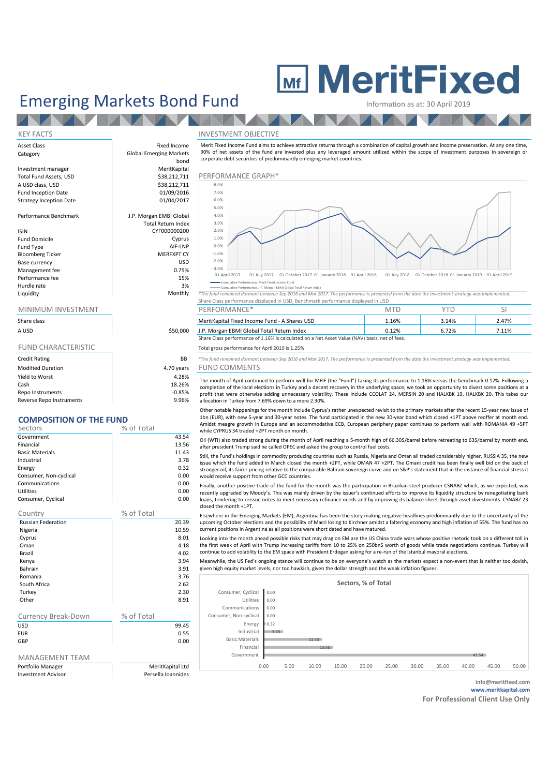## Emerging Markets Bond Fund<br>
Information as at: 30 April 2019

# **MEDITE SECTION**

**AND 4** 

**NEW YORK** 

# **TANK**

bond<br>MeritKanital

**AND AND A** 

Total Return Index CYF000000200

#### Asset Class **Fixed Income** Category Global Emerging Markets

#### Investment manager and a merit MeritKapital Controllering MeritKapital Controllering Merit Merit Merit Merit M<br>
Samus 1988,212,711 A USD class, USD **b**  $\overline{S}$ 38.212.711 Fund Inception Date and 109/2016 Strategy Inception Date 101/04/2017

#### Performance Benchmark J.P. Morgan EMBI Global

| <b>ISIN</b>             | CYF000000200      |
|-------------------------|-------------------|
| <b>Fund Domicile</b>    | Cyprus            |
| Fund Type               | AIF-LNP           |
| <b>Bloomberg Ticker</b> | <b>MERFXPT CY</b> |
| Base currency           | USD               |
| Management fee          | 0.75%             |
| Performance fee         | 15%               |
| Hurdle rate             | 3%                |
| Liquidity               | Monthly           |

#### MINIMUM INVESTMENT

| Share class |  |
|-------------|--|
| A USD       |  |

| <b>Credit Rating</b>     | BB         |
|--------------------------|------------|
| <b>Modified Duration</b> | 4.70 years |
| Yield to Worst           | 4.28%      |
| Cash                     | 18.26%     |
| Repo Instruments         | $-0.85%$   |
| Reverse Repo Instruments | 9.96%      |

### **COMPOSITION OF THE FUND**

| Sectors                    | % of Total         |
|----------------------------|--------------------|
| Government                 | 43.54              |
| Financial                  | 13.56              |
| <b>Basic Materials</b>     | 11.43              |
| Industrial                 | 3.78               |
| Energy                     | 0.32               |
| Consumer, Non-cyclical     | 0.00               |
| Communications             | 0.00               |
| <b>Utilities</b>           | 0.00               |
| Consumer, Cyclical         | 0.00               |
| Country                    | % of Total         |
| <b>Russian Federation</b>  | 20.39              |
| Nigeria                    | 10.59              |
| Cyprus                     | 8.01               |
| Oman                       | 4.18               |
| Brazil                     | 4.02               |
| Kenya                      | 3.94               |
| <b>Bahrain</b>             | 3.91               |
| Romania                    | 3.76               |
| South Africa               | 2.62               |
| Turkey                     | 2.30               |
| Other                      | 8.91               |
| <b>Currency Break-Down</b> | % of Total         |
| <b>USD</b>                 | 99.45              |
| <b>EUR</b>                 | 0.55               |
| GBP                        | 0.00               |
| <b>MANAGEMENT TEAM</b>     |                    |
| Portfolio Manager          | MeritKapital Ltd   |
| <b>Investment Advisor</b>  | Persella Ioannides |

#### KEY FACTS INVESTMENT OBJECTIVE

Merit Fixed Income Fund aims to achieve attractive returns through a combination of capital growth and income preservation. At any one time, 90% of net assets of the fund are invested plus any leveraged amount utilized within the scope of investment purposes in sovereign or corporate debt securities of predominantly emerging market countries.

#### PERFORMANCE GRAPH\*



Cumulative Performance, Merit Fixed Income Fund .<br>The P.P. Morgan EBMI Global Total Return Index

Liquidity Monthly *\*The fund remained dormant between Sep 2016 and Mar 2017. The performance is presented from the date the investment strategy was implemented.* Share Class performance displayed in USD, Benchmark performance displayed in USD

| MINIMUM INVESTMENT |          | PERFORMANCE*                                                                                  |       |       |       |  |  |  |  |
|--------------------|----------|-----------------------------------------------------------------------------------------------|-------|-------|-------|--|--|--|--|
| Share class        |          | MeritKapital Fixed Income Fund - A Shares USD                                                 | 1.16% | 3.14% | 2.47% |  |  |  |  |
| A USD              | \$50,000 | J.P. Morgan EBMI Global Total Return Index                                                    | 0.12% | 6.72% | 7.11% |  |  |  |  |
|                    |          | Share Class performance of 1.16% is calculated on a Net Asset Value (NAV) basis, net of fees. |       |       |       |  |  |  |  |

#### FUND CHARACTERISTIC TOTAL Total gross performance for April 2019 is 1.25%

**BB** \*The fund remained dormant between Sep 2016 and Mar 2017. The performance is presented from the date the investment strategy was implemented. ars FUND COMMENTS

The month of April continued to perform well for MFIF (the "Fund") taking its performance to 1.16% versus the benchmark 0.12%. Following a completion of the local elections in Turkey and a decent recovery in the underlying space, we took an opportunity to divest some positions at a profit that were otherwise adding unnecessary volatility. These include CCOLAT 24, MERSIN 20 and HALKBK 19, HALKBK 20. This takes our allocation in Turkey from 7.69% down to a mere 2.30%.

Other notable happenings for the month include Cyprus's rather unexpected revisit to the primary markets after the recent 15-year new issue of 1bn (EUR), with new 5-year and 30-year notes. The fund participated in the new 30-year bond which closed +1PT above reoffer at month end. Amidst meagre growth in Europe and an accommodative ECB, European periphery paper continues to perform well with ROMANIA 49 +5PT while CYPRUS 34 traded +2PT month on month.

Oil (WTI) also traded strong during the month of April reaching a 5-month high of 66.30\$/barrel before retreating to 63\$/barrel by month end, after president Trump said he called OPEC and asked the group to control fuel costs.

Still, the Fund's holdings in commodity producing countries such as Russia, Nigeria and Oman all traded considerably higher. RUSSIA 35, the new issue which the fund added in March closed the month +2PT, while OMAN 47 +2PT. The Omani credit has been finally well bid on the back of stronger oil, its fairer pricing relative to the comparable Bahrain sovereign curve and on S&P's statement that in the instance of financial stress it would receive support from other GCC countries.

Finally, another positive trade of the fund for the month was the participation in Brazilian steel producer CSNABZ which, as we expected, was recently upgraded by Moody's. This was mainly driven by the issuer's continued efforts to improve its liquidity structure by renegotiating bank loans, tendering to reissue notes to meet necessary refinance needs and by improving its balance sheet through asset divestments. CSNABZ 23 closed the month +1PT.

Elsewhere in the Emerging Markets (EM), Argentina has been the story making negative headlines predominantly due to the uncertainty of the upcoming October elections and the possibility of Macri losing to Kirchner amidst a faltering economy and high inflation of 55%. The fund has no current positions in Argentina as all positions were short dated and have matured.

Looking into the month ahead possible risks that may drag on EM are the US China trade wars whose positive rhetoric took on a different toll in the first week of April with Trump increasing tariffs from 10 to 25% on 250bn\$ worth of goods while trade negotiations continue. Turkey will continue to add volatility to the EM space with President Erdogan asking for a re-run of the Istanbul mayoral elections.

Meanwhile, the US Fed's ongoing stance will continue to be on everyone's watch as the markets expect a non-event that is neither too dovish, given high equity market levels, nor too hawkish, given the dollar strength and the weak inflation figures.



### **info@meritfixed.com www.meritkapital.com**

**For Professional Client Use Only**